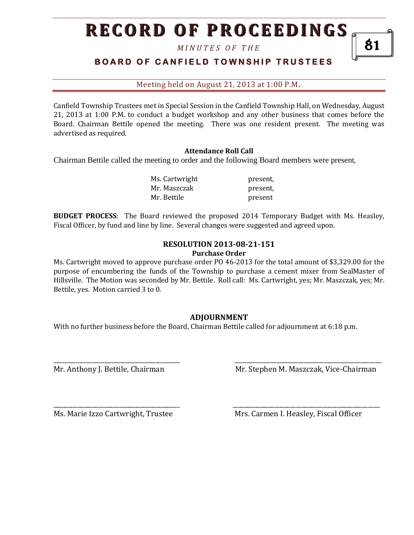# **RECORD OF PROCEEDINGS**

*M I N U T E S O F T H E* 

## **BOARD OF CANFIELD TOWNSHIP TRUSTEES**

Meeting held on August 21, 2013 at 1:00 P.M**.**

Canfield Township Trustees met in Special Session in the Canfield Township Hall, on Wednesday, August 21, 2013 at 1:00 P.M. to conduct a budget workshop and any other business that comes before the Board. Chairman Bettile opened the meeting. There was one resident present. The meeting was advertised as required.

### **Attendance Roll Call**

Chairman Bettile called the meeting to order and the following Board members were present,

| Ms. Cartwright | present, |
|----------------|----------|
| Mr. Maszczak   | present, |
| Mr. Bettile    | present  |

**BUDGET PROCESS**: The Board reviewed the proposed 2014 Temporary Budget with Ms. Heasley, Fiscal Officer, by fund and line by line. Several changes were suggested and agreed upon.

#### **RESOLUTION 2013-08-21-151 Purchase Order**

Ms. Cartwright moved to approve purchase order PO 46-2013 for the total amount of \$3,329.00 for the purpose of encumbering the funds of the Township to purchase a cement mixer from SealMaster of Hillsville. The Motion was seconded by Mr. Bettile. Roll call: Ms. Cartwright, yes; Mr. Maszczak, yes; Mr. Bettile, yes. Motion carried 3 to 0.

### **ADJOURNMENT**

\_\_\_\_\_\_\_\_\_\_\_\_\_\_\_\_\_\_\_\_\_\_\_\_\_\_\_\_\_\_\_\_\_\_\_\_\_\_\_\_\_\_ \_\_\_\_\_\_\_\_\_\_\_\_\_\_\_\_\_\_\_\_\_\_\_\_\_\_\_\_\_\_\_\_\_\_\_\_\_\_\_\_\_\_\_\_\_\_\_\_\_

\_\_\_\_\_\_\_\_\_\_\_\_\_\_\_\_\_\_\_\_\_\_\_\_\_\_\_\_\_\_\_\_\_\_\_\_\_\_\_\_\_\_ \_\_\_\_\_\_\_\_\_\_\_\_\_\_\_\_\_\_\_\_\_\_\_\_\_\_\_\_\_\_\_\_\_\_\_\_\_\_\_\_\_\_\_\_\_\_\_\_\_

With no further business before the Board, Chairman Bettile called for adjournment at 6:18 p.m.

Mr. Anthony J. Bettile, Chairman Mr. Stephen M. Maszczak, Vice-Chairman

Ms. Marie Izzo Cartwright, Trustee Mrs. Carmen I. Heasley, Fiscal Officer

81